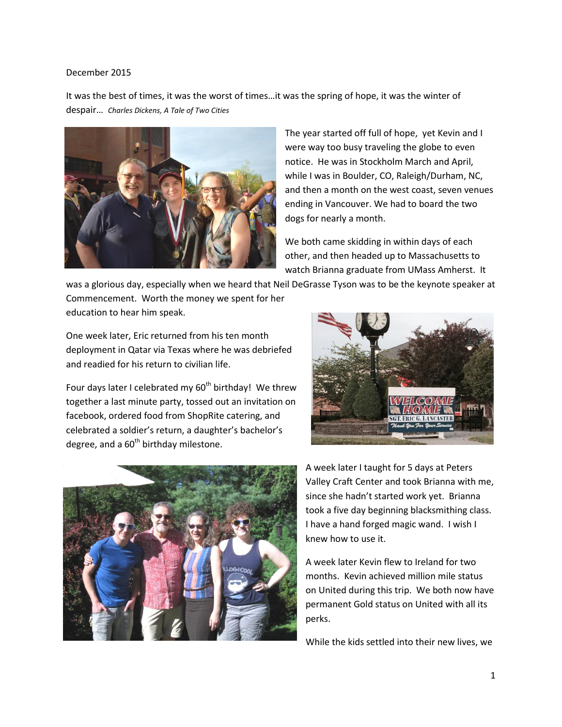## December 2015

It was the best of times, it was the worst of times…it was the spring of hope, it was the winter of despair… *Charles Dickens, A Tale of Two Cities*



The year started off full of hope, yet Kevin and I were way too busy traveling the globe to even notice. He was in Stockholm March and April, while I was in Boulder, CO, Raleigh/Durham, NC, and then a month on the west coast, seven venues ending in Vancouver. We had to board the two dogs for nearly a month.

We both came skidding in within days of each other, and then headed up to Massachusetts to watch Brianna graduate from UMass Amherst. It

was a glorious day, especially when we heard that Neil DeGrasse Tyson was to be the keynote speaker at Commencement. Worth the money we spent for her education to hear him speak.

One week later, Eric returned from his ten month deployment in Qatar via Texas where he was debriefed and readied for his return to civilian life.

Four days later I celebrated my  $60<sup>th</sup>$  birthday! We threw together a last minute party, tossed out an invitation on facebook, ordered food from ShopRite catering, and celebrated a soldier's return, a daughter's bachelor's degree, and a  $60<sup>th</sup>$  birthday milestone.





A week later I taught for 5 days at Peters Valley Craft Center and took Brianna with me, since she hadn't started work yet. Brianna took a five day beginning blacksmithing class. I have a hand forged magic wand. I wish I knew how to use it.

A week later Kevin flew to Ireland for two months. Kevin achieved million mile status on United during this trip. We both now have permanent Gold status on United with all its perks.

While the kids settled into their new lives, we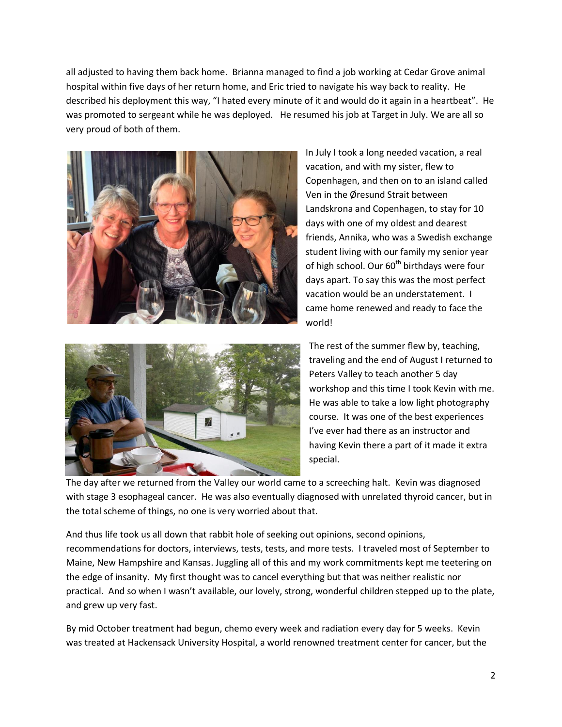all adjusted to having them back home. Brianna managed to find a job working at Cedar Grove animal hospital within five days of her return home, and Eric tried to navigate his way back to reality. He described his deployment this way, "I hated every minute of it and would do it again in a heartbeat". He was promoted to sergeant while he was deployed. He resumed his job at Target in July. We are all so very proud of both of them.





In July I took a long needed vacation, a real vacation, and with my sister, flew to Copenhagen, and then on to an island called Ven in the Øresund Strait between Landskrona and Copenhagen, to stay for 10 days with one of my oldest and dearest friends, Annika, who was a Swedish exchange student living with our family my senior year of high school. Our  $60<sup>th</sup>$  birthdays were four days apart. To say this was the most perfect vacation would be an understatement. I came home renewed and ready to face the world!

The rest of the summer flew by, teaching, traveling and the end of August I returned to Peters Valley to teach another 5 day workshop and this time I took Kevin with me. He was able to take a low light photography course. It was one of the best experiences I've ever had there as an instructor and having Kevin there a part of it made it extra special.

The day after we returned from the Valley our world came to a screeching halt. Kevin was diagnosed with stage 3 esophageal cancer. He was also eventually diagnosed with unrelated thyroid cancer, but in the total scheme of things, no one is very worried about that.

And thus life took us all down that rabbit hole of seeking out opinions, second opinions, recommendations for doctors, interviews, tests, tests, and more tests. I traveled most of September to Maine, New Hampshire and Kansas. Juggling all of this and my work commitments kept me teetering on the edge of insanity. My first thought was to cancel everything but that was neither realistic nor practical. And so when I wasn't available, our lovely, strong, wonderful children stepped up to the plate, and grew up very fast.

By mid October treatment had begun, chemo every week and radiation every day for 5 weeks. Kevin was treated at Hackensack University Hospital, a world renowned treatment center for cancer, but the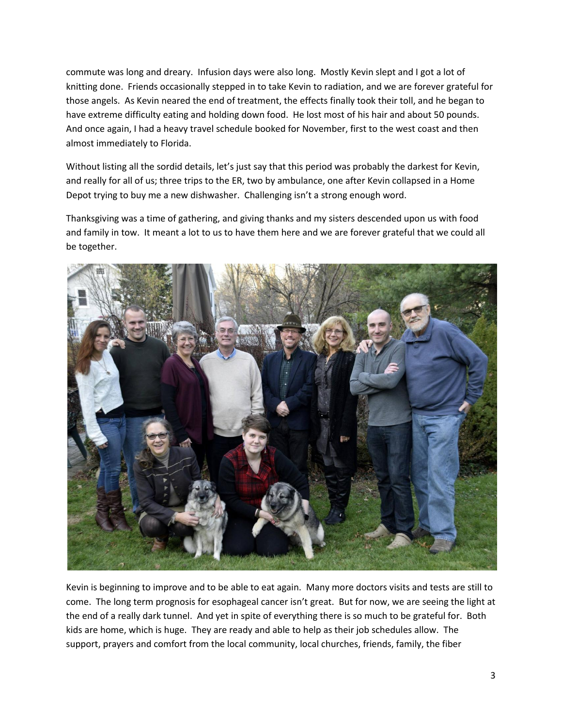commute was long and dreary. Infusion days were also long. Mostly Kevin slept and I got a lot of knitting done. Friends occasionally stepped in to take Kevin to radiation, and we are forever grateful for those angels. As Kevin neared the end of treatment, the effects finally took their toll, and he began to have extreme difficulty eating and holding down food. He lost most of his hair and about 50 pounds. And once again, I had a heavy travel schedule booked for November, first to the west coast and then almost immediately to Florida.

Without listing all the sordid details, let's just say that this period was probably the darkest for Kevin, and really for all of us; three trips to the ER, two by ambulance, one after Kevin collapsed in a Home Depot trying to buy me a new dishwasher. Challenging isn't a strong enough word.

Thanksgiving was a time of gathering, and giving thanks and my sisters descended upon us with food and family in tow. It meant a lot to us to have them here and we are forever grateful that we could all be together.



Kevin is beginning to improve and to be able to eat again. Many more doctors visits and tests are still to come. The long term prognosis for esophageal cancer isn't great. But for now, we are seeing the light at the end of a really dark tunnel. And yet in spite of everything there is so much to be grateful for. Both kids are home, which is huge. They are ready and able to help as their job schedules allow. The support, prayers and comfort from the local community, local churches, friends, family, the fiber